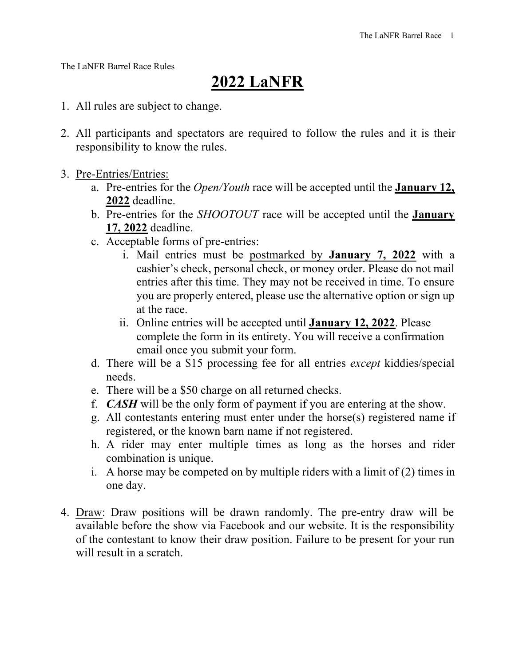The LaNFR Barrel Race Rules

## **2022 LaNFR**

- 1. All rules are subject to change.
- 2. All participants and spectators are required to follow the rules and it is their responsibility to know the rules.
- 3. Pre-Entries/Entries:
	- a. Pre-entries for the *Open/Youth* race will be accepted until the **January 12, 2022** deadline.
	- b. Pre-entries for the *SHOOTOUT* race will be accepted until the **January 17, 2022** deadline.
	- c. Acceptable forms of pre-entries:
		- i. Mail entries must be postmarked by **January 7, 2022** with a cashier's check, personal check, or money order. Please do not mail entries after this time. They may not be received in time. To ensure you are properly entered, please use the alternative option or sign up at the race.
		- ii. Online entries will be accepted until **January 12, 2022**. Please complete the form in its entirety. You will receive a confirmation email once you submit your form.
	- d. There will be a \$15 processing fee for all entries *except* kiddies/special needs.
	- e. There will be a \$50 charge on all returned checks.
	- f. *CASH* will be the only form of payment if you are entering at the show.
	- g. All contestants entering must enter under the horse(s) registered name if registered, or the known barn name if not registered.
	- h. A rider may enter multiple times as long as the horses and rider combination is unique.
	- i. A horse may be competed on by multiple riders with a limit of (2) times in one day.
- 4. Draw: Draw positions will be drawn randomly. The pre-entry draw will be available before the show via Facebook and our website. It is the responsibility of the contestant to know their draw position. Failure to be present for your run will result in a scratch.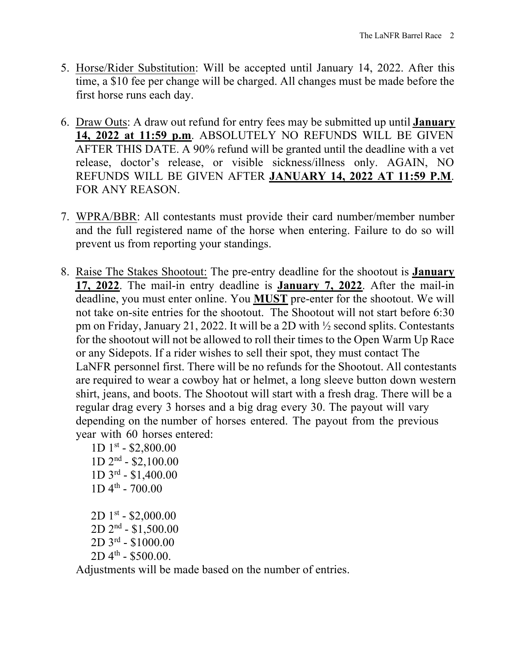- 5. Horse/Rider Substitution: Will be accepted until January 14, 2022. After this time, a \$10 fee per change will be charged. All changes must be made before the first horse runs each day.
- 6. Draw Outs: A draw out refund for entry fees may be submitted up until **January 14, 2022 at 11:59 p.m**. ABSOLUTELY NO REFUNDS WILL BE GIVEN AFTER THIS DATE. A 90% refund will be granted until the deadline with a vet release, doctor's release, or visible sickness/illness only. AGAIN, NO REFUNDS WILL BE GIVEN AFTER **JANUARY 14, 2022 AT 11:59 P.M**. FOR ANY REASON.
- 7. WPRA/BBR: All contestants must provide their card number/member number and the full registered name of the horse when entering. Failure to do so will prevent us from reporting your standings.
- 8. Raise The Stakes Shootout: The pre-entry deadline for the shootout is **January 17, 2022**. The mail-in entry deadline is **January 7, 2022**. After the mail-in deadline, you must enter online. You **MUST** pre-enter for the shootout. We will not take on-site entries for the shootout. The Shootout will not start before 6:30 pm on Friday, January 21, 2022. It will be a 2D with ½ second splits. Contestants for the shootout will not be allowed to roll their times to the Open Warm Up Race or any Sidepots. If a rider wishes to sell their spot, they must contact The LaNFR personnel first. There will be no refunds for the Shootout. All contestants are required to wear a cowboy hat or helmet, a long sleeve button down western shirt, jeans, and boots. The Shootout will start with a fresh drag. There will be a regular drag every 3 horses and a big drag every 30. The payout will vary depending on the number of horses entered. The payout from the previous year with 60 horses entered:
	- $1D$  1st \$2,800.00  $1D$   $2<sup>nd</sup>$  - \$2,100.00 1D 3rd - \$1,400.00  $1D 4<sup>th</sup> - 700.00$  $2D1^{st} - $2,000.00$ 2D 2nd - \$1,500.00 2D 3rd - \$1000.00  $2D 4<sup>th</sup> - $500.00.$

Adjustments will be made based on the number of entries.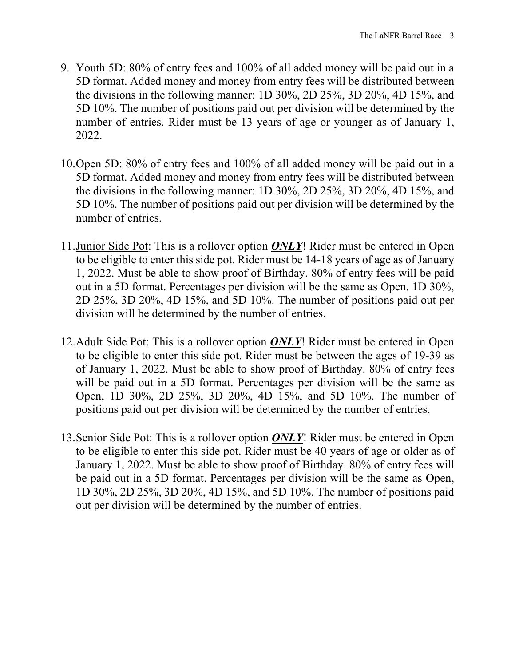- 9. Youth 5D: 80% of entry fees and 100% of all added money will be paid out in a 5D format. Added money and money from entry fees will be distributed between the divisions in the following manner: 1D 30%, 2D 25%, 3D 20%, 4D 15%, and 5D 10%. The number of positions paid out per division will be determined by the number of entries. Rider must be 13 years of age or younger as of January 1, 2022.
- 10.Open 5D: 80% of entry fees and 100% of all added money will be paid out in a 5D format. Added money and money from entry fees will be distributed between the divisions in the following manner: 1D 30%, 2D 25%, 3D 20%, 4D 15%, and 5D 10%. The number of positions paid out per division will be determined by the number of entries.
- 11.Junior Side Pot: This is a rollover option *ONLY*! Rider must be entered in Open to be eligible to enter this side pot. Rider must be 14-18 years of age as of January 1, 2022. Must be able to show proof of Birthday. 80% of entry fees will be paid out in a 5D format. Percentages per division will be the same as Open, 1D 30%, 2D 25%, 3D 20%, 4D 15%, and 5D 10%. The number of positions paid out per division will be determined by the number of entries.
- 12.Adult Side Pot: This is a rollover option *ONLY*! Rider must be entered in Open to be eligible to enter this side pot. Rider must be between the ages of 19-39 as of January 1, 2022. Must be able to show proof of Birthday. 80% of entry fees will be paid out in a 5D format. Percentages per division will be the same as Open, 1D 30%, 2D 25%, 3D 20%, 4D 15%, and 5D 10%. The number of positions paid out per division will be determined by the number of entries.
- 13.Senior Side Pot: This is a rollover option *ONLY*! Rider must be entered in Open to be eligible to enter this side pot. Rider must be 40 years of age or older as of January 1, 2022. Must be able to show proof of Birthday. 80% of entry fees will be paid out in a 5D format. Percentages per division will be the same as Open, 1D 30%, 2D 25%, 3D 20%, 4D 15%, and 5D 10%. The number of positions paid out per division will be determined by the number of entries.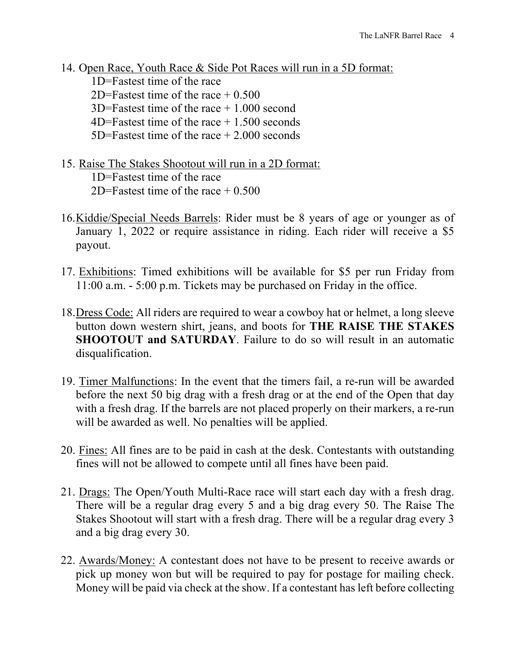- 14. Open Race, Youth Race & Side Pot Races will run in a 5D format: 1D=Fastest time of the race 2D=Fastest time of the race  $\pm 0.500$ 3D=Fastest time of the race + 1.000 second  $4D=Fastest$  time of the race  $+1.500$  seconds 5D=Fastest time of the race + 2.000 seconds
- 15. Raise The Stakes Shootout will run in a 2D format: 1D=Fastest time of the race 2D=Fastest time of the race  $\pm 0.500$
- 16.Kiddie/Special Needs Barrels: Rider must be 8 years of age or younger as of January 1, 2022 or require assistance in riding. Each rider will receive a \$5 payout.
- 17. Exhibitions: Timed exhibitions will be available for \$5 per run Friday from 11:00 a.m. - 5:00 p.m. Tickets may be purchased on Friday in the office.
- 18.Dress Code: All riders are required to wear a cowboy hat or helmet, a long sleeve button down western shirt, jeans, and boots for **THE RAISE THE STAKES SHOOTOUT and SATURDAY**. Failure to do so will result in an automatic disqualification.
- 19. Timer Malfunctions: In the event that the timers fail, a re-run will be awarded before the next 50 big drag with a fresh drag or at the end of the Open that day with a fresh drag. If the barrels are not placed properly on their markers, a re-run will be awarded as well. No penalties will be applied.
- 20. Fines: All fines are to be paid in cash at the desk. Contestants with outstanding fines will not be allowed to compete until all fines have been paid.
- 21. Drags: The Open/Youth Multi-Race race will start each day with a fresh drag. There will be a regular drag every 5 and a big drag every 50. The Raise The Stakes Shootout will start with a fresh drag. There will be a regular drag every 3 and a big drag every 30.
- 22. Awards/Money: A contestant does not have to be present to receive awards or pick up money won but will be required to pay for postage for mailing check. Money will be paid via check at the show. If a contestant has left before collecting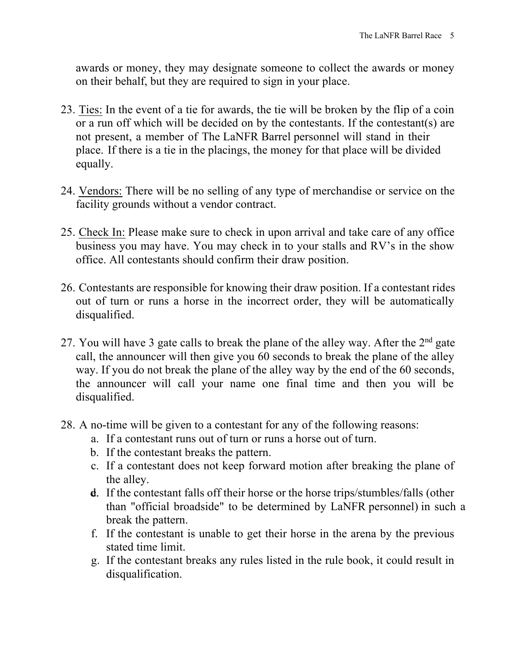awards or money, they may designate someone to collect the awards or money on their behalf, but they are required to sign in your place.

- 23. Ties: In the event of a tie for awards, the tie will be broken by the flip of a coin or a run off which will be decided on by the contestants. If the contestant(s) are not present, a member of The LaNFR Barrel personnel will stand in their place. If there is a tie in the placings, the money for that place will be divided equally.
- 24. Vendors: There will be no selling of any type of merchandise or service on the facility grounds without a vendor contract.
- 25. Check In: Please make sure to check in upon arrival and take care of any office business you may have. You may check in to your stalls and RV's in the show office. All contestants should confirm their draw position.
- 26. Contestants are responsible for knowing their draw position. If a contestant rides out of turn or runs a horse in the incorrect order, they will be automatically disqualified.
- 27. You will have 3 gate calls to break the plane of the alley way. After the  $2<sup>nd</sup>$  gate call, the announcer will then give you 60 seconds to break the plane of the alley way. If you do not break the plane of the alley way by the end of the 60 seconds, the announcer will call your name one final time and then you will be disqualified.
- 28. A no-time will be given to a contestant for any of the following reasons:
	- a. If a contestant runs out of turn or runs a horse out of turn.
	- b. If the contestant breaks the pattern.
	- c. If a contestant does not keep forward motion after breaking the plane of the alley.
	- **d.** If the contestant falls off their horse or the horse trips/stumbles/falls (other than "official broadside" to be determined by LaNFR personnel) in such a break the pattern.
	- f. If the contestant is unable to get their horse in the arena by the previous stated time limit.
	- g. If the contestant breaks any rules listed in the rule book, it could result in disqualification.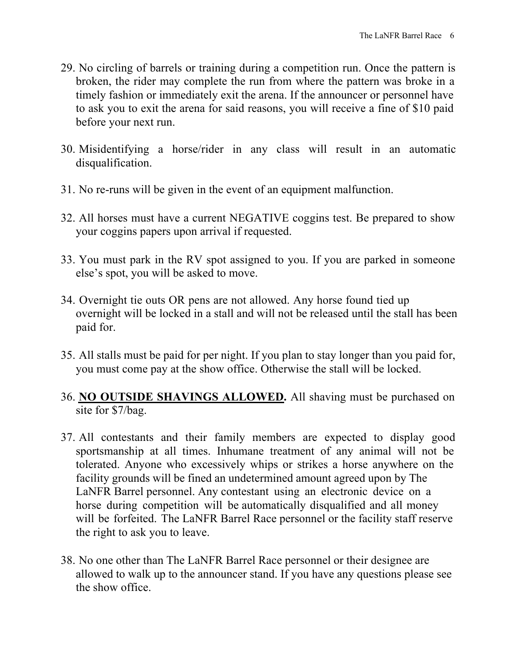- 29. No circling of barrels or training during a competition run. Once the pattern is broken, the rider may complete the run from where the pattern was broke in a timely fashion or immediately exit the arena. If the announcer or personnel have to ask you to exit the arena for said reasons, you will receive a fine of \$10 paid before your next run.
- 30. Misidentifying a horse/rider in any class will result in an automatic disqualification.
- 31. No re-runs will be given in the event of an equipment malfunction.
- 32. All horses must have a current NEGATIVE coggins test. Be prepared to show your coggins papers upon arrival if requested.
- 33. You must park in the RV spot assigned to you. If you are parked in someone else's spot, you will be asked to move.
- 34. Overnight tie outs OR pens are not allowed. Any horse found tied up overnight will be locked in a stall and will not be released until the stall has been paid for.
- 35. All stalls must be paid for per night. If you plan to stay longer than you paid for, you must come pay at the show office. Otherwise the stall will be locked.
- 36. **NO OUTSIDE SHAVINGS ALLOWED.** All shaving must be purchased on site for \$7/bag.
- 37. All contestants and their family members are expected to display good sportsmanship at all times. Inhumane treatment of any animal will not be tolerated. Anyone who excessively whips or strikes a horse anywhere on the facility grounds will be fined an undetermined amount agreed upon by The LaNFR Barrel personnel. Any contestant using an electronic device on a horse during competition will be automatically disqualified and all money will be forfeited. The LaNFR Barrel Race personnel or the facility staff reserve the right to ask you to leave.
- 38. No one other than The LaNFR Barrel Race personnel or their designee are allowed to walk up to the announcer stand. If you have any questions please see the show office.